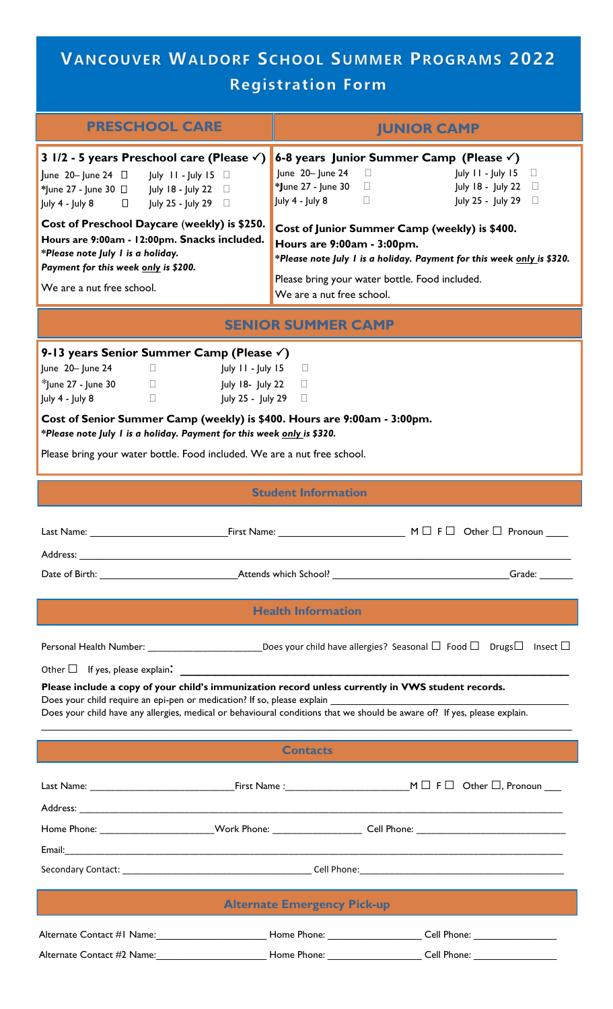# VANCOUVER WALDORF SCHOOL SUMMER PROGRAMS 2022 **Registration Form**

| <b>PRESCHOOL CARE</b>                                                                                                                                                                                                                                                                                                                                                                                                                                                                                                                            | <b>JUNIOR CAMP</b>                                                                                                                                                                                                                                                                                                                                                                                                                                                               |  |  |  |
|--------------------------------------------------------------------------------------------------------------------------------------------------------------------------------------------------------------------------------------------------------------------------------------------------------------------------------------------------------------------------------------------------------------------------------------------------------------------------------------------------------------------------------------------------|----------------------------------------------------------------------------------------------------------------------------------------------------------------------------------------------------------------------------------------------------------------------------------------------------------------------------------------------------------------------------------------------------------------------------------------------------------------------------------|--|--|--|
| 3 $1/2$ - 5 years Preschool care (Please $\checkmark$ )<br>June 20- June 24 $\Box$ July 11 - July 15 $\Box$<br>*June 27 - June 30 □ July 18 - July 22 □<br>July 4 - July 8 □ July 25 - July 29 □<br>Cost of Preschool Daycare (weekly) is \$250.<br>Hours are 9:00am - 12:00pm. Snacks included.<br>*Please note July I is a holiday.<br>Payment for this week only is \$200.<br>We are a nut free school.                                                                                                                                       | 6-8 years Junior Summer Camp (Please $\checkmark$ )<br>June 20- June 24<br>July 11 - July 15<br>$\Box$<br>$\Box$<br>*June 27 - June 30 $\Box$<br>July 18 - July 22<br>$\Box$<br>July 4 - July 8<br>July 25 - July 29<br>$\Box$<br>$\Box$<br>Cost of Junior Summer Camp (weekly) is \$400.<br>Hours are 9:00am - 3:00pm.<br>*Please note July I is a holiday. Payment for this week only is \$320.<br>Please bring your water bottle. Food included.<br>We are a nut free school. |  |  |  |
| <b>SENIOR SUMMER CAMP</b>                                                                                                                                                                                                                                                                                                                                                                                                                                                                                                                        |                                                                                                                                                                                                                                                                                                                                                                                                                                                                                  |  |  |  |
| 9-13 years Senior Summer Camp (Please $\checkmark$ )<br>June 20- June 24 $\Box$<br>$\frac{1}{2}$ July 11 - July 15<br>$\Box$<br>$*$ June 27 - June 30 $\Box$ July 18- July 22<br>$\Box$<br>July 4 - July 8<br>$\Box$<br>July 25 - July 29 □<br>Cost of Senior Summer Camp (weekly) is \$400. Hours are 9:00am - 3:00pm.<br>*Please note July I is a holiday. Payment for this week only is \$320.<br>Please bring your water bottle. Food included. We are a nut free school.                                                                    |                                                                                                                                                                                                                                                                                                                                                                                                                                                                                  |  |  |  |
| <b>Student Information</b>                                                                                                                                                                                                                                                                                                                                                                                                                                                                                                                       |                                                                                                                                                                                                                                                                                                                                                                                                                                                                                  |  |  |  |
| Last Name: Name<br>Address:                                                                                                                                                                                                                                                                                                                                                                                                                                                                                                                      | $M \Box F \Box$ Other $\Box$ Pronoun<br>First Name: The Communication of the Communication of the Communication of the Communication of the Communication of the Communication of the Communication of the Communication of the Communication of the Communication of                                                                                                                                                                                                            |  |  |  |
| <b>Health Information</b>                                                                                                                                                                                                                                                                                                                                                                                                                                                                                                                        |                                                                                                                                                                                                                                                                                                                                                                                                                                                                                  |  |  |  |
| Personal Health Number: ______________________________Does your child have allergies? Seasonal $\Box$ Food $\Box$ Drugs $\Box$ Insect $\Box$<br>Other $\Box$ If yes, please explain:<br><u> 1980 - John Stein, mars and der Stein Stein Stein Stein Stein Stein Stein Stein Stein Stein Stein Stein Stein</u><br>Please include a copy of your child's immunization record unless currently in VWS student records.<br>Does your child have any allergies, medical or behavioural conditions that we should be aware of? If yes, please explain. |                                                                                                                                                                                                                                                                                                                                                                                                                                                                                  |  |  |  |
| <b>Contacts</b>                                                                                                                                                                                                                                                                                                                                                                                                                                                                                                                                  |                                                                                                                                                                                                                                                                                                                                                                                                                                                                                  |  |  |  |
|                                                                                                                                                                                                                                                                                                                                                                                                                                                                                                                                                  |                                                                                                                                                                                                                                                                                                                                                                                                                                                                                  |  |  |  |
|                                                                                                                                                                                                                                                                                                                                                                                                                                                                                                                                                  |                                                                                                                                                                                                                                                                                                                                                                                                                                                                                  |  |  |  |
|                                                                                                                                                                                                                                                                                                                                                                                                                                                                                                                                                  |                                                                                                                                                                                                                                                                                                                                                                                                                                                                                  |  |  |  |
| <b>Alternate Emergency Pick-up</b>                                                                                                                                                                                                                                                                                                                                                                                                                                                                                                               |                                                                                                                                                                                                                                                                                                                                                                                                                                                                                  |  |  |  |
|                                                                                                                                                                                                                                                                                                                                                                                                                                                                                                                                                  | Alternate Contact #1 Name:___________________________Home Phone: ___________________Cell Phone: _______________                                                                                                                                                                                                                                                                                                                                                                  |  |  |  |
|                                                                                                                                                                                                                                                                                                                                                                                                                                                                                                                                                  | Alternate Contact #2 Name:______________________________Home Phone: _____________________Cell Phone: _________________________________                                                                                                                                                                                                                                                                                                                                           |  |  |  |